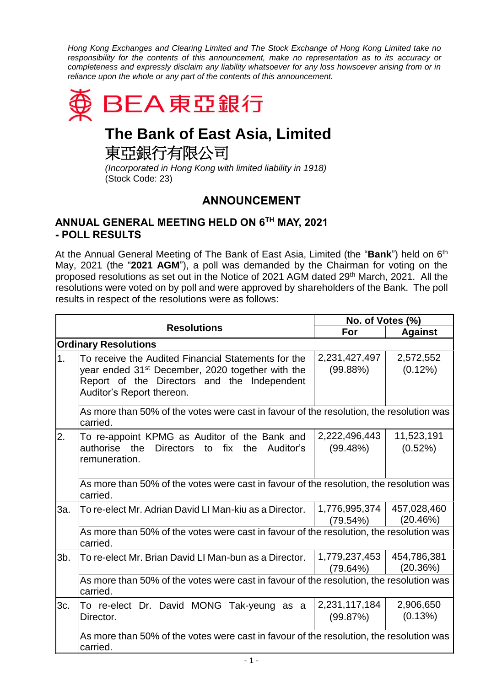*Hong Kong Exchanges and Clearing Limited and The Stock Exchange of Hong Kong Limited take no responsibility for the contents of this announcement, make no representation as to its accuracy or completeness and expressly disclaim any liability whatsoever for any loss howsoever arising from or in reliance upon the whole or any part of the contents of this announcement.*



## **The Bank of East Asia, Limited**

東亞銀行有限公司

*(Incorporated in Hong Kong with limited liability in 1918)* (Stock Code: 23)

## **ANNOUNCEMENT**

## **ANNUAL GENERAL MEETING HELD ON 6 TH MAY, 2021 - POLL RESULTS**

At the Annual General Meeting of The Bank of East Asia, Limited (the "**Bank**") held on 6<sup>th</sup> May, 2021 (the "**2021 AGM**"), a poll was demanded by the Chairman for voting on the proposed resolutions as set out in the Notice of 2021 AGM dated 29<sup>th</sup> March, 2021. All the resolutions were voted on by poll and were approved by shareholders of the Bank. The poll results in respect of the resolutions were as follows:

|                             |                                                                                                                                                                                                 | No. of Votes (%)          |                         |  |
|-----------------------------|-------------------------------------------------------------------------------------------------------------------------------------------------------------------------------------------------|---------------------------|-------------------------|--|
| <b>Resolutions</b>          | For                                                                                                                                                                                             | <b>Against</b>            |                         |  |
| <b>Ordinary Resolutions</b> |                                                                                                                                                                                                 |                           |                         |  |
| 1.                          | To receive the Audited Financial Statements for the<br>year ended 31 <sup>st</sup> December, 2020 together with the<br>Report of the Directors and the Independent<br>Auditor's Report thereon. | 2,231,427,497<br>(99.88%) | 2,572,552<br>$(0.12\%)$ |  |
|                             | As more than 50% of the votes were cast in favour of the resolution, the resolution was<br>carried.                                                                                             |                           |                         |  |
| 2.                          | To re-appoint KPMG as Auditor of the Bank and<br>authorise the<br>Directors to<br>fix<br>Auditor's<br>the<br>remuneration.                                                                      | 2,222,496,443<br>(99.48%) | 11,523,191<br>(0.52%)   |  |
|                             | As more than 50% of the votes were cast in favour of the resolution, the resolution was<br>carried.                                                                                             |                           |                         |  |
| 3a.                         | To re-elect Mr. Adrian David LI Man-kiu as a Director.                                                                                                                                          | 1,776,995,374<br>(79.54%) | 457,028,460<br>(20.46%) |  |
|                             | As more than 50% of the votes were cast in favour of the resolution, the resolution was<br>carried.                                                                                             |                           |                         |  |
| 3b.                         | To re-elect Mr. Brian David LI Man-bun as a Director.                                                                                                                                           | 1,779,237,453<br>(79.64%) | 454,786,381<br>(20.36%) |  |
|                             | As more than 50% of the votes were cast in favour of the resolution, the resolution was<br>carried.                                                                                             |                           |                         |  |
| 3c.                         | To re-elect Dr. David MONG Tak-yeung as a<br>Director.                                                                                                                                          | 2,231,117,184<br>(99.87%) | 2,906,650<br>(0.13%)    |  |
|                             | As more than 50% of the votes were cast in favour of the resolution, the resolution was<br>carried.                                                                                             |                           |                         |  |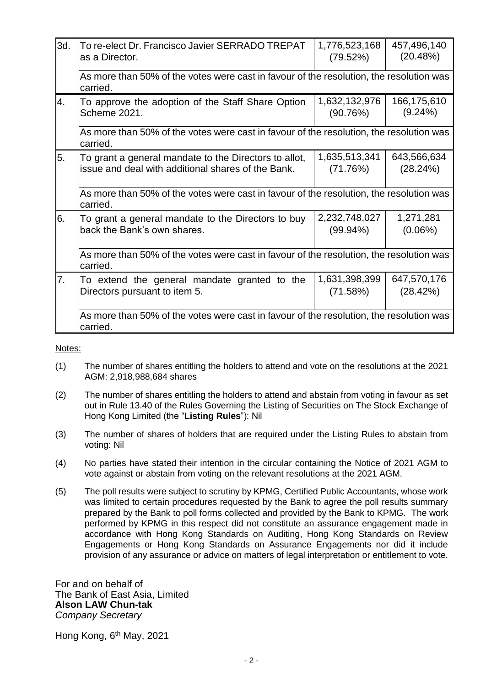| 3d. | To re-elect Dr. Francisco Javier SERRADO TREPAT<br>as a Director.                                           | 1,776,523,168<br>(79.52%)    | 457,496,140<br>(20.48%) |  |
|-----|-------------------------------------------------------------------------------------------------------------|------------------------------|-------------------------|--|
|     | As more than 50% of the votes were cast in favour of the resolution, the resolution was<br>carried.         |                              |                         |  |
| 4.  | To approve the adoption of the Staff Share Option<br>Scheme 2021.                                           | 1,632,132,976<br>(90.76%)    | 166,175,610<br>(9.24%)  |  |
|     | As more than 50% of the votes were cast in favour of the resolution, the resolution was<br>carried.         |                              |                         |  |
| 5.  | To grant a general mandate to the Directors to allot,<br>issue and deal with additional shares of the Bank. | 1,635,513,341<br>(71.76%)    | 643,566,634<br>(28.24%) |  |
|     | As more than 50% of the votes were cast in favour of the resolution, the resolution was<br>carried.         |                              |                         |  |
| 6.  | To grant a general mandate to the Directors to buy<br>back the Bank's own shares.                           | 2,232,748,027<br>$(99.94\%)$ | 1,271,281<br>$(0.06\%)$ |  |
|     | As more than 50% of the votes were cast in favour of the resolution, the resolution was<br>carried.         |                              |                         |  |
| 17. | To extend the general mandate granted to the<br>Directors pursuant to item 5.                               | 1,631,398,399<br>(71.58%)    | 647,570,176<br>(28.42%) |  |
|     | As more than 50% of the votes were cast in favour of the resolution, the resolution was<br>carried.         |                              |                         |  |

Notes:

- (1) The number of shares entitling the holders to attend and vote on the resolutions at the 2021 AGM: 2,918,988,684 shares
- (2) The number of shares entitling the holders to attend and abstain from voting in favour as set out in Rule 13.40 of the Rules Governing the Listing of Securities on The Stock Exchange of Hong Kong Limited (the "**Listing Rules**"): Nil
- (3) The number of shares of holders that are required under the Listing Rules to abstain from voting: Nil
- (4) No parties have stated their intention in the circular containing the Notice of 2021 AGM to vote against or abstain from voting on the relevant resolutions at the 2021 AGM.
- (5) The poll results were subject to scrutiny by KPMG, Certified Public Accountants, whose work was limited to certain procedures requested by the Bank to agree the poll results summary prepared by the Bank to poll forms collected and provided by the Bank to KPMG. The work performed by KPMG in this respect did not constitute an assurance engagement made in accordance with Hong Kong Standards on Auditing, Hong Kong Standards on Review Engagements or Hong Kong Standards on Assurance Engagements nor did it include provision of any assurance or advice on matters of legal interpretation or entitlement to vote.

For and on behalf of The Bank of East Asia, Limited **Alson LAW Chun-tak** *Company Secretary*

Hong Kong, 6<sup>th</sup> May, 2021